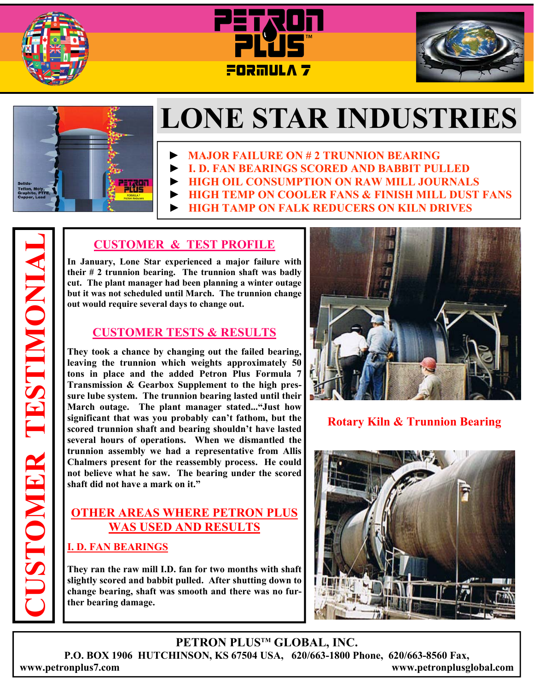







# **LONE STAR INDUSTRIES**

- **► MAJOR FAILURE ON # 2 TRUNNION BEARING**
- **► I. D. FAN BEARINGS SCORED AND BABBIT PULLED**
- **► HIGH OIL CONSUMPTION ON RAW MILL JOURNALS**
- **HIGH TEMP ON COOLER FANS & FINISH MILL DUST FANS**
- **HIGH TAMP ON FALK REDUCERS ON KILN DRIVES**

## **CUSTOMER & TEST PROFILE**

**In January, Lone Star experienced a major failure with their # 2 trunnion bearing. The trunnion shaft was badly cut. The plant manager had been planning a winter outage but it was not scheduled until March. The trunnion change out would require several days to change out.** 

#### **CUSTOMER TESTS & RESULTS**

**They took a chance by changing out the failed bearing, leaving the trunnion which weights approximately 50 tons in place and the added Petron Plus Formula 7 Transmission & Gearbox Supplement to the high pressure lube system. The trunnion bearing lasted until their March outage. The plant manager stated..."Just how significant that was you probably can't fathom, but the scored trunnion shaft and bearing shouldn't have lasted several hours of operations. When we dismantled the trunnion assembly we had a representative from Allis Chalmers present for the reassembly process. He could not believe what he saw. The bearing under the scored shaft did not have a mark on it."** 

## **OTHER AREAS WHERE PETRON PLUS WAS USED AND RESULTS**

#### **I. D. FAN BEARINGS**

**They ran the raw mill I.D. fan for two months with shaft slightly scored and babbit pulled. After shutting down to change bearing, shaft was smooth and there was no further bearing damage.** 



**Rotary Kiln & Trunnion Bearing** 



### **PETRON PLUSTM GLOBAL, INC.**

**P.O. BOX 1906 HUTCHINSON, KS 67504 USA, 620/663-1800 Phone, 620/663-8560 Fax, www.petronplus7.com www.petronplusglobal.com** 

**CUSTOMER TESTIMONIAL**  USTOMER TESTIMONIA